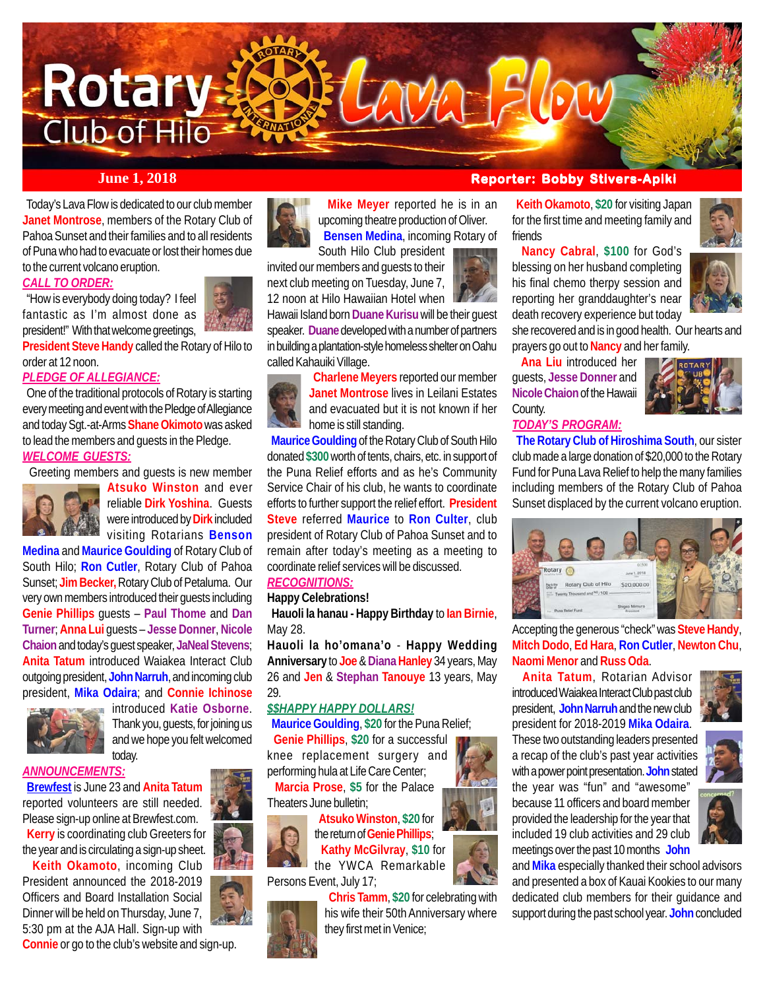# CAMA Flow **Rotary** Club of Hilo

 Today's Lava Flow is dedicated to our club member **Janet Montrose**, members of the Rotary Club of Pahoa Sunset and their families and to all residents of Puna who had to evacuate or lost their homes due to the current volcano eruption.

#### *CALL TO ORDER:*

 "How is everybody doing today? I feel fantastic as I'm almost done as president!" With that welcome greetings,



**President Steve Handy** called the Rotary of Hilo to order at 12 noon.

#### *PLEDGE OF ALLEGIANCE:*

 One of the traditional protocols of Rotary is starting every meeting and event with the Pledge of Allegiance and today Sgt.-at-Arms **Shane Okimoto** was asked to lead the members and guests in the Pledge.

#### *WELCOME GUESTS:*

Greeting members and guests is new member



**Atsuko Winston** and ever reliable **Dirk Yoshina**. Guests were introduced by **Dirk** included visiting Rotarians **Benson**

**Medina** and **Maurice Goulding** of Rotary Club of South Hilo; **Ron Cutler**, Rotary Club of Pahoa Sunset; **Jim Becker,** Rotary Club of Petaluma. Our very own members introduced their guests including **Genie Phillips** guests – **Paul Thome** and **Dan Turner**; **Anna Lui** guests – **Jesse Donner**, **Nicole Chaion** and today's guest speaker, **JaNeal Stevens**; **Anita Tatum** introduced Waiakea Interact Club outgoing president, **John Narruh**, and incoming club president, **Mika Odaira**; and **Connie Ichinose**



introduced **Katie Osborne**. Thank you, guests, for joining us and we hope you felt welcomed today.

#### *ANNOUNCEMENTS:*

 **Brewfest** is June 23 and **Anita Tatum** reported volunteers are still needed. Please sign-up online at Brewfest.com.  **Kerry** is coordinating club Greeters for the year and is circulating a sign-up sheet.

 **Keith Okamoto**, incoming Club President announced the 2018-2019 Officers and Board Installation Social Dinner will be held on Thursday, June 7, 5:30 pm at the AJA Hall. Sign-up with **Connie** or go to the club's website and sign-up.



 **Mike Meyer** reported he is in an upcoming theatre production of Oliver. **Bensen Medina**, incoming Rotary of

South Hilo Club president invited our members and guests to their next club meeting on Tuesday, June 7, 12 noon at Hilo Hawaiian Hotel when

Hawaii Island born **Duane Kurisu** will be their guest speaker. **Duane** developed with a number of partners in building a plantation-style homeless shelter on Oahu called Kahauiki Village.

> **Charlene Meyers** reported our member **Janet Montrose** lives in Leilani Estates and evacuated but it is not known if her home is still standing.

#### **Maurice Goulding** of the Rotary Club of South Hilo donated **\$300** worth of tents, chairs, etc. in support of the Puna Relief efforts and as he's Community Service Chair of his club, he wants to coordinate efforts to further support the relief effort. **President Steve** referred **Maurice** to **Ron Culter**, club president of Rotary Club of Pahoa Sunset and to remain after today's meeting as a meeting to coordinate relief services will be discussed.

### *RECOGNITIONS:*

**Happy Celebrations!**

 **Hauoli la hanau - Happy Birthday** to **Ian Birnie**, May 28.

**Hauoli la ho'omana'o** - **Happy Wedding Anniversary** to **Joe** & Diana Hanley 34 years, May 26 and **Jen** & **Stephan Tanouye** 13 years, May 29.

#### *\$\$HAPPY HAPPY DOLLARS!*

 **Maurice Goulding**, **\$20** for the Puna Relief; **Genie Phillips**, **\$20** for a successful

knee replacement surgery and performing hula at Life Care Center;

 **Marcia Prose**, **\$5** for the Palace Theaters June bulletin;



 **Atsuko Winston**, **\$20** for the return of **Genie Phillips**; **Kathy McGilvray**, **\$10** for the YWCA Remarkable Persons Event, July 17;

**Chris Tamm**, **\$20** for celebrating with

his wife their 50th Anniversary where they first met in Venice;

#### *June 1, 2018* **<b>Reporter: Bobby Stivers-Apiki**

 **Keith Okamoto**, **\$20** for visiting Japan for the first time and meeting family and friends

 **Nancy Cabral**, **\$100** for God's blessing on her husband completing his final chemo therpy session and reporting her granddaughter's near death recovery experience but today



she recovered and is in good health. Our hearts and prayers go out to **Nancy** and her family.

 **Ana Liu** introduced her guests, **Jesse Donner** and **Nicole Chaion** of the Hawaii County.



#### *TODAY'S PROGRAM:*

 **The Rotary Club of Hiroshima South**, our sister club made a large donation of \$20,000 to the Rotary Fund for Puna Lava Relief to help the many families including members of the Rotary Club of Pahoa Sunset displaced by the current volcano eruption.



Accepting the generous "check" was **Steve Handy**, **Mitch Dodo**, **Ed Hara**, **Ron Cutler**, **Newton Chu**, **Naomi Menor** and **Russ Oda**.

 **Anita Tatum**, Rotarian Advisor introduced Waiakea Interact Club past club president, **John Narruh** and the new club president for 2018-2019 **Mika Odaira**.

These two outstanding leaders presented a recap of the club's past year activities with a power point presentation. **John** stated the year was "fun" and "awesome" because 11 officers and board member provided the leadership for the year that included 19 club activities and 29 club meetings over the past 10 months **John**



and **Mika** especially thanked their school advisors and presented a box of Kauai Kookies to our many dedicated club members for their guidance and support during the past school year. **John** concluded



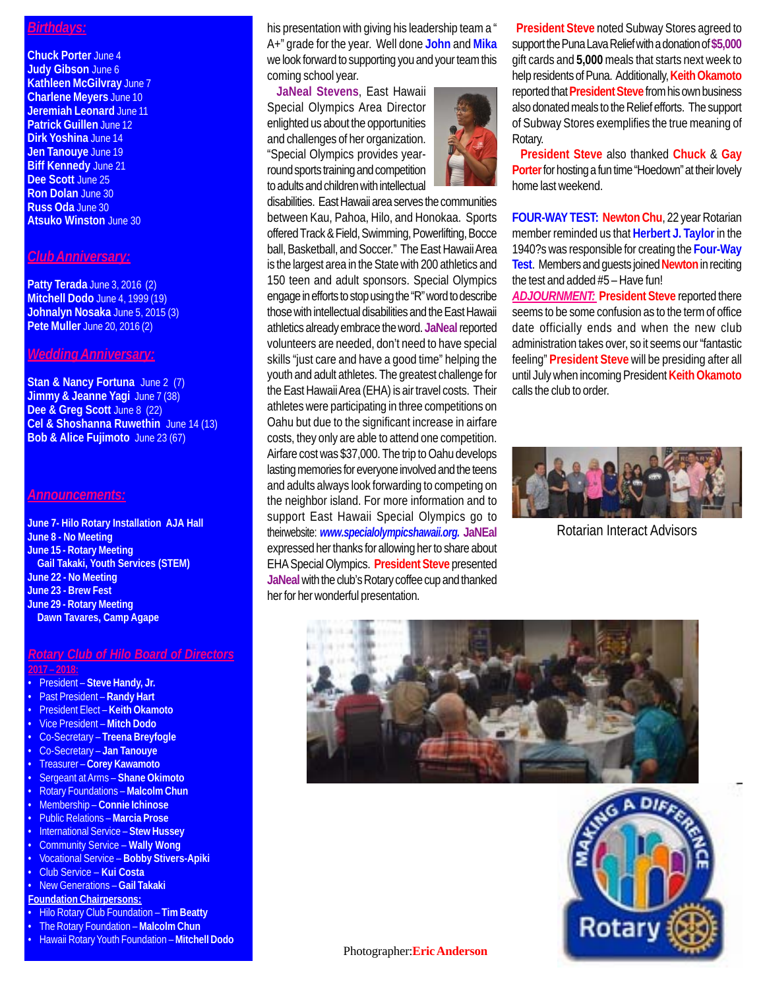#### *Birthdays:*

**Chuck Porter** June 4 **Judy Gibson** June 6 **Kathleen McGilvray** June 7 **Charlene Meyers** June 10 **Jeremiah Leonard** June 11 **Patrick Guillen** June 12 **Dirk Yoshina** June 14 **Jen Tanouye** June 19 **Biff Kennedy** June 21 **Dee Scott** June 25 **Ron Dolan** June 30 **Russ Oda** June 30 **Atsuko Winston** June 30

#### *Club Anniversary:*

**Patty Terada** June 3, 2016 (2) **Mitchell Dodo** June 4, 1999 (19) **Johnalyn Nosaka** June 5, 2015 (3) **Pete Muller** June 20, 2016 (2)

#### *Wedding Anniversary:*

**Stan & Nancy Fortuna** June 2 (7) **Jimmy & Jeanne Yagi** June 7 (38) Dee & Greg Scott June 8 (22) **Cel & Shoshanna Ruwethin** June 14 (13) **Bob & Alice Fujimoto** June 23 (67)

#### *Announcements:*

**June 7- Hilo Rotary Installation AJA Hall June 8 - No Meeting June 15 - Rotary Meeting Gail Takaki, Youth Services (STEM) June 22 - No Meeting June 23 - Brew Fest June 29 - Rotary Meeting Dawn Tavares, Camp Agape**

### *Rotary Club of Hilo Board of Directors*

#### **2017 – 2018:**

- President **Steve Handy, Jr.**
- Past President **Randy Hart**
- President Elect **Keith Okamoto**
- Vice President **Mitch Dodo**
- Co-Secretary **Treena Breyfogle**
- Co-Secretary **Jan Tanouye**
- Treasurer **Corey Kawamoto**
- Sergeant at Arms **Shane Okimoto**
- Rotary Foundations **Malcolm Chun**
- Membership **Connie Ichinose**
- Public Relations **Marcia Prose**
- International Service **Stew Hussey**
- Community Service **Wally Wong**
- Vocational Service **Bobby Stivers-Apiki**
- Club Service **Kui Costa**
- New Generations **Gail Takaki Foundation Chairpersons:**
- Hilo Rotary Club Foundation **Tim Beatty**
- The Rotary Foundation **Malcolm Chun**
- Hawaii Rotary Youth Foundation **Mitchell Dodo**

his presentation with giving his leadership team a " A+" grade for the year. Well done **John** and **Mika** we look forward to supporting you and your team this coming school year.

 **JaNeal Stevens**, East Hawaii Special Olympics Area Director enlighted us about the opportunities and challenges of her organization. "Special Olympics provides yearround sports training and competition to adults and children with intellectual



disabilities. East Hawaii area serves the communities between Kau, Pahoa, Hilo, and Honokaa. Sports offered Track & Field, Swimming, Powerlifting, Bocce ball, Basketball, and Soccer." The East Hawaii Area is the largest area in the State with 200 athletics and 150 teen and adult sponsors. Special Olympics engage in efforts to stop using the "R" word to describe those with intellectual disabilities and the East Hawaii athletics already embrace the word. **JaNeal** reported volunteers are needed, don't need to have special skills "just care and have a good time" helping the youth and adult athletes. The greatest challenge for the East Hawaii Area (EHA) is air travel costs. Their athletes were participating in three competitions on Oahu but due to the significant increase in airfare costs, they only are able to attend one competition. Airfare cost was \$37,000. The trip to Oahu develops lasting memories for everyone involved and the teens and adults always look forwarding to competing on the neighbor island. For more information and to support East Hawaii Special Olympics go to theirwebsite: *www.specialolympicshawaii.org.* **JaNEal** expressed her thanks for allowing her to share about EHA Special Olympics. **President Steve** presented

**JaNeal** with the club's Rotary coffee cup and thanked her for her wonderful presentation.

 **President Steve** noted Subway Stores agreed to support the Puna Lava Relief with a donation of **\$5,000** gift cards and **5,000** meals that starts next week to help residents of Puna. Additionally, **Keith Okamoto** reported that **President Steve** from his own business also donated meals to the Relief efforts. The support of Subway Stores exemplifies the true meaning of Rotary.

 **President Steve** also thanked **Chuck** & **Gay Porter** for hosting a fun time "Hoedown" at their lovely home last weekend.

**FOUR-WAY TEST: Newton Chu**, 22 year Rotarian member reminded us that **Herbert J. Taylor** in the 1940?s was responsible for creating the **Four-Way Test**. Members and guests joined **Newton** in reciting the test and added #5 – Have fun!

*ADJOURNMENT:* **President Steve** reported there seems to be some confusion as to the term of office date officially ends and when the new club administration takes over, so it seems our "fantastic feeling" **President Steve** will be presiding after all until July when incoming President **Keith Okamoto** calls the club to order.



Rotarian Interact Advisors





Photographer:**Eric Anderson**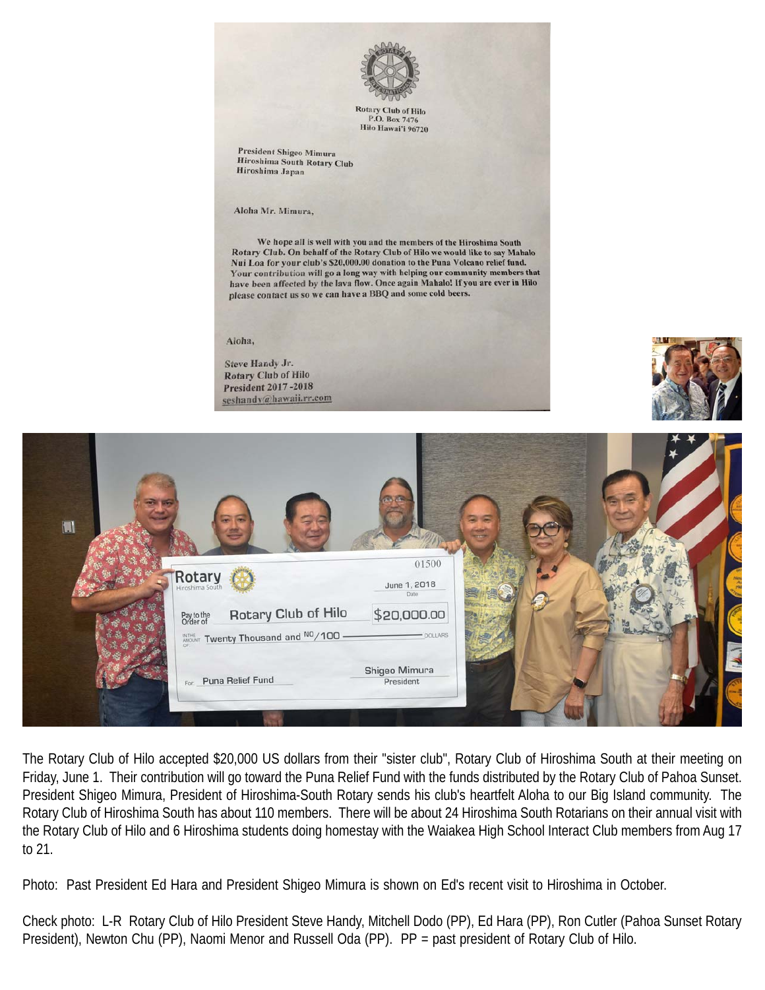

**Rotary Club of Hilo** P.O. Box 7476 Hilo Hawai'i 96720

**President Shigeo Mimura** Hiroshima South Rotary Club Hiroshima Japan

Aloha Mr. Mimura,

We hope all is well with you and the members of the Hiroshima South Rotary Club. On behalf of the Rotary Club of Hilo we would like to say Mahalo Nui Loa for your club's \$20,000.00 donation to the Puna Volcano relief fund. Your contribution will go a long way with helping our community members that have been affected by the lava flow. Once again Mahalo! If you are ever in Hilo please contact us so we can have a BBQ and some cold beers.

#### Aloha,

Steve Handy Jr. **Rotary Club of Hilo President 2017-2018** seshandy@hawaii.rr.com





The Rotary Club of Hilo accepted \$20,000 US dollars from their "sister club", Rotary Club of Hiroshima South at their meeting on Friday, June 1. Their contribution will go toward the Puna Relief Fund with the funds distributed by the Rotary Club of Pahoa Sunset. President Shigeo Mimura, President of Hiroshima-South Rotary sends his club's heartfelt Aloha to our Big Island community. The Rotary Club of Hiroshima South has about 110 members. There will be about 24 Hiroshima South Rotarians on their annual visit with the Rotary Club of Hilo and 6 Hiroshima students doing homestay with the Waiakea High School Interact Club members from Aug 17 to 21.

Photo: Past President Ed Hara and President Shigeo Mimura is shown on Ed's recent visit to Hiroshima in October.

Check photo: L-R Rotary Club of Hilo President Steve Handy, Mitchell Dodo (PP), Ed Hara (PP), Ron Cutler (Pahoa Sunset Rotary President), Newton Chu (PP), Naomi Menor and Russell Oda (PP). PP = past president of Rotary Club of Hilo.